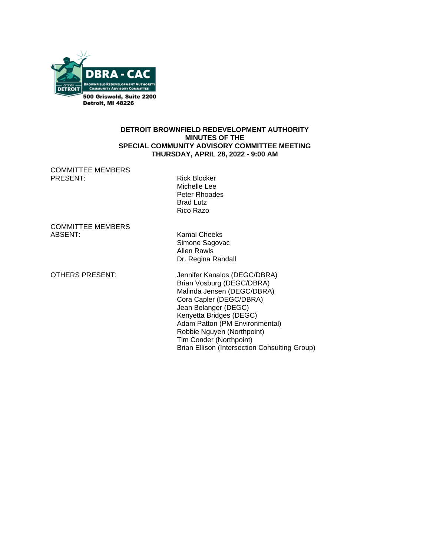

#### **DETROIT BROWNFIELD REDEVELOPMENT AUTHORITY MINUTES OF THE SPECIAL COMMUNITY ADVISORY COMMITTEE MEETING THURSDAY, APRIL 28, 2022 - 9:00 AM**

COMMITTEE MEMBERS PRESENT: Rick Blocker

 Michelle Lee Peter Rhoades Brad Lutz Rico Razo

COMMITTEE MEMBERS

**Kamal Cheeks** Simone Sagovac Allen Rawls Dr. Regina Randall

OTHERS PRESENT: Jennifer Kanalos (DEGC/DBRA) Brian Vosburg (DEGC/DBRA) Malinda Jensen (DEGC/DBRA) Cora Capler (DEGC/DBRA) Jean Belanger (DEGC) Kenyetta Bridges (DEGC) Adam Patton (PM Environmental) Robbie Nguyen (Northpoint) Tim Conder (Northpoint) Brian Ellison (Intersection Consulting Group)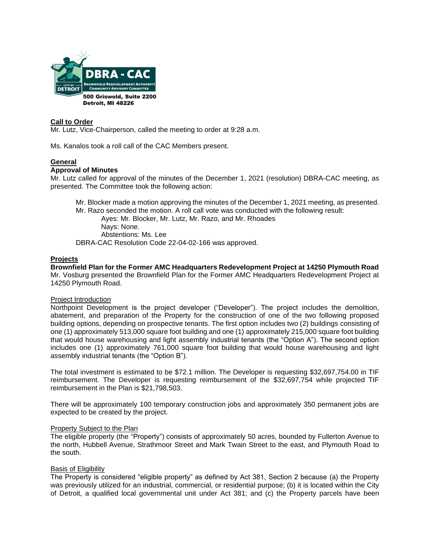

#### **Call to Order**

Mr. Lutz, Vice-Chairperson, called the meeting to order at 9:28 a.m.

Ms. Kanalos took a roll call of the CAC Members present.

# **General**

#### **Approval of Minutes**

Mr. Lutz called for approval of the minutes of the December 1, 2021 (resolution) DBRA-CAC meeting, as presented. The Committee took the following action:

- Mr. Blocker made a motion approving the minutes of the December 1, 2021 meeting, as presented.
- Mr. Razo seconded the motion. A roll call vote was conducted with the following result:

Ayes: Mr. Blocker, Mr. Lutz, Mr. Razo, and Mr. Rhoades Nays: None. Abstentions: Ms. Lee

DBRA-CAC Resolution Code 22-04-02-166 was approved.

#### **Projects**

**Brownfield Plan for the Former AMC Headquarters Redevelopment Project at 14250 Plymouth Road** Mr. Vosburg presented the Brownfield Plan for the Former AMC Headquarters Redevelopment Project at 14250 Plymouth Road.

#### Project Introduction

Northpoint Development is the project developer ("Developer"). The project includes the demolition, abatement, and preparation of the Property for the construction of one of the two following proposed building options, depending on prospective tenants. The first option includes two (2) buildings consisting of one (1) approximately 513,000 square foot building and one (1) approximately 215,000 square foot building that would house warehousing and light assembly industrial tenants (the "Option A"). The second option includes one (1) approximately 761,000 square foot building that would house warehousing and light assembly industrial tenants (the "Option B").

The total investment is estimated to be \$72.1 million. The Developer is requesting \$32,697,754.00 in TIF reimbursement. The Developer is requesting reimbursement of the \$32,697,754 while projected TIF reimbursement in the Plan is \$21,798,503.

There will be approximately 100 temporary construction jobs and approximately 350 permanent jobs are expected to be created by the project.

#### **Property Subject to the Plan**

The eligible property (the "Property") consists of approximately 50 acres, bounded by Fullerton Avenue to the north, Hubbell Avenue, Strathmoor Street and Mark Twain Street to the east, and Plymouth Road to the south.

#### Basis of Eligibility

The Property is considered "eligible property" as defined by Act 381, Section 2 because (a) the Property was previously utilized for an industrial, commercial, or residential purpose; (b) it is located within the City of Detroit, a qualified local governmental unit under Act 381; and (c) the Property parcels have been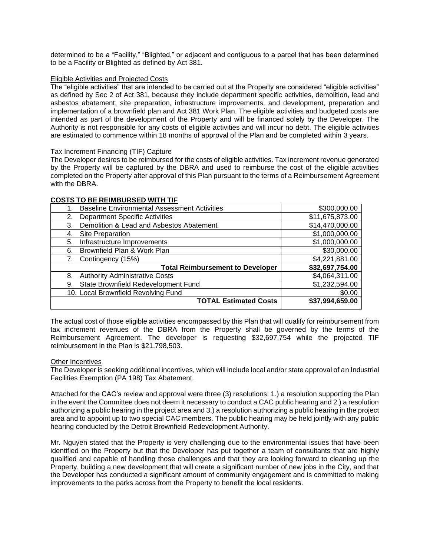determined to be a "Facility," "Blighted," or adjacent and contiguous to a parcel that has been determined to be a Facility or Blighted as defined by Act 381.

#### Eligible Activities and Projected Costs

The "eligible activities" that are intended to be carried out at the Property are considered "eligible activities" as defined by Sec 2 of Act 381, because they include department specific activities, demolition, lead and asbestos abatement, site preparation, infrastructure improvements, and development, preparation and implementation of a brownfield plan and Act 381 Work Plan. The eligible activities and budgeted costs are intended as part of the development of the Property and will be financed solely by the Developer. The Authority is not responsible for any costs of eligible activities and will incur no debt. The eligible activities are estimated to commence within 18 months of approval of the Plan and be completed within 3 years.

#### Tax Increment Financing (TIF) Capture

The Developer desires to be reimbursed for the costs of eligible activities. Tax increment revenue generated by the Property will be captured by the DBRA and used to reimburse the cost of the eligible activities completed on the Property after approval of this Plan pursuant to the terms of a Reimbursement Agreement with the DBRA.

| <b>Baseline Environmental Assessment Activities</b> | \$300,000.00    |
|-----------------------------------------------------|-----------------|
| <b>Department Specific Activities</b><br>2.         | \$11,675,873.00 |
| Demolition & Lead and Asbestos Abatement<br>3.      | \$14,470,000.00 |
| Site Preparation<br>4.                              | \$1,000,000.00  |
| Infrastructure Improvements<br>5.                   | \$1,000,000.00  |
| Brownfield Plan & Work Plan<br>6.                   | \$30,000.00     |
| Contingency (15%)                                   | \$4,221,881.00  |
| <b>Total Reimbursement to Developer</b>             | \$32,697,754.00 |
| <b>Authority Administrative Costs</b><br>8.         | \$4,064,311.00  |
| State Brownfield Redevelopment Fund<br>9.           | \$1,232,594.00  |
| 10. Local Brownfield Revolving Fund                 | \$0.00          |
| <b>TOTAL Estimated Costs</b>                        | \$37,994,659.00 |
|                                                     |                 |

#### **COSTS TO BE REIMBURSED WITH TIF**

The actual cost of those eligible activities encompassed by this Plan that will qualify for reimbursement from tax increment revenues of the DBRA from the Property shall be governed by the terms of the Reimbursement Agreement. The developer is requesting \$32,697,754 while the projected TIF reimbursement in the Plan is \$21,798,503.

### Other Incentives

The Developer is seeking additional incentives, which will include local and/or state approval of an Industrial Facilities Exemption (PA 198) Tax Abatement.

Attached for the CAC's review and approval were three (3) resolutions: 1.) a resolution supporting the Plan in the event the Committee does not deem it necessary to conduct a CAC public hearing and 2.) a resolution authorizing a public hearing in the project area and 3.) a resolution authorizing a public hearing in the project area and to appoint up to two special CAC members. The public hearing may be held jointly with any public hearing conducted by the Detroit Brownfield Redevelopment Authority.

Mr. Nguyen stated that the Property is very challenging due to the environmental issues that have been identified on the Property but that the Developer has put together a team of consultants that are highly qualified and capable of handling those challenges and that they are looking forward to cleaning up the Property, building a new development that will create a significant number of new jobs in the City, and that the Developer has conducted a significant amount of community engagement and is committed to making improvements to the parks across from the Property to benefit the local residents.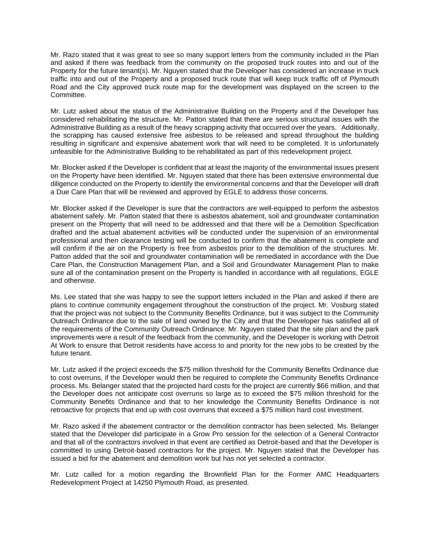Mr. Razo stated that it was great to see so many support letters from the community included in the Plan and asked if there was feedback from the community on the proposed truck routes into and out of the Property for the future tenant(s). Mr. Nguyen stated that the Developer has considered an increase in truck traffic into and out of the Property and a proposed truck route that will keep truck traffic off of Plymouth Road and the City approved truck route map for the development was displayed on the screen to the Committee.

Mr. Lutz asked about the status of the Administrative Building on the Property and if the Developer has considered rehabilitating the structure. Mr. Patton stated that there are serious structural issues with the Administrative Building as a result of the heavy scrapping activity that occurred over the years. Additionally, the scrapping has caused extensive free asbestos to be released and spread throughout the building resulting in significant and expensive abatement work that will need to be completed. It is unfortunately unfeasible for the Administrative Building to be rehabilitated as part of this redevelopment project.

Mr. Blocker asked if the Developer is confident that at least the majority of the environmental issues present on the Property have been identified. Mr. Nguyen stated that there has been extensive environmental due diligence conducted on the Property to identify the environmental concerns and that the Developer will draft a Due Care Plan that will be reviewed and approved by EGLE to address those concerns.

Mr. Blocker asked if the Developer is sure that the contractors are well-equipped to perform the asbestos abatement safely. Mr. Patton stated that there is asbestos abatement, soil and groundwater contamination present on the Property that will need to be addressed and that there will be a Demolition Specification drafted and the actual abatement activities will be conducted under the supervision of an environmental professional and then clearance testing will be conducted to confirm that the abatement is complete and will confirm if the air on the Property is free from asbestos prior to the demolition of the structures. Mr. Patton added that the soil and groundwater contamination will be remediated in accordance with the Due Care Plan, the Construction Management Plan, and a Soil and Groundwater Management Plan to make sure all of the contamination present on the Property is handled in accordance with all regulations, EGLE and otherwise.

Ms. Lee stated that she was happy to see the support letters included in the Plan and asked if there are plans to continue community engagement throughout the construction of the project. Mr. Vosburg stated that the project was not subject to the Community Benefits Ordinance, but it was subject to the Community Outreach Ordinance due to the sale of land owned by the City and that the Developer has satisfied all of the requirements of the Community Outreach Ordinance. Mr. Nguyen stated that the site plan and the park improvements were a result of the feedback from the community, and the Developer is working with Detroit At Work to ensure that Detroit residents have access to and priority for the new jobs to be created by the future tenant.

Mr. Lutz asked if the project exceeds the \$75 million threshold for the Community Benefits Ordinance due to cost overruns, if the Developer would then be required to complete the Community Benefits Ordinance process. Ms. Belanger stated that the projected hard costs for the project are currently \$66 million, and that the Developer does not anticipate cost overruns so large as to exceed the \$75 million threshold for the Community Benefits Ordinance and that to her knowledge the Community Benefits Ordinance is not retroactive for projects that end up with cost overruns that exceed a \$75 million hard cost investment.

Mr. Razo asked if the abatement contractor or the demolition contractor has been selected. Ms. Belanger stated that the Developer did participate in a Grow Pro session for the selection of a General Contractor and that all of the contractors involved in that event are certified as Detroit-based and that the Developer is committed to using Detroit-based contractors for the project. Mr. Nguyen stated that the Developer has issued a bid for the abatement and demolition work but has not yet selected a contractor.

Mr. Lutz called for a motion regarding the Brownfield Plan for the Former AMC Headquarters Redevelopment Project at 14250 Plymouth Road, as presented.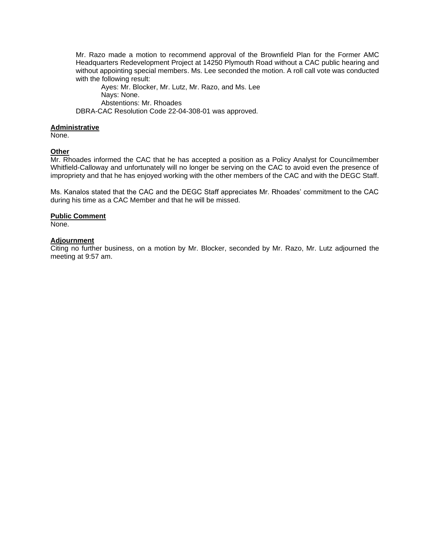Mr. Razo made a motion to recommend approval of the Brownfield Plan for the Former AMC Headquarters Redevelopment Project at 14250 Plymouth Road without a CAC public hearing and without appointing special members. Ms. Lee seconded the motion. A roll call vote was conducted with the following result:

Ayes: Mr. Blocker, Mr. Lutz, Mr. Razo, and Ms. Lee Nays: None. Abstentions: Mr. Rhoades DBRA-CAC Resolution Code 22-04-308-01 was approved.

#### **Administrative**

None.

#### **Other**

Mr. Rhoades informed the CAC that he has accepted a position as a Policy Analyst for Councilmember Whitfield-Calloway and unfortunately will no longer be serving on the CAC to avoid even the presence of impropriety and that he has enjoyed working with the other members of the CAC and with the DEGC Staff.

Ms. Kanalos stated that the CAC and the DEGC Staff appreciates Mr. Rhoades' commitment to the CAC during his time as a CAC Member and that he will be missed.

### **Public Comment**

None.

### **Adjournment**

Citing no further business, on a motion by Mr. Blocker, seconded by Mr. Razo, Mr. Lutz adjourned the meeting at 9:57 am.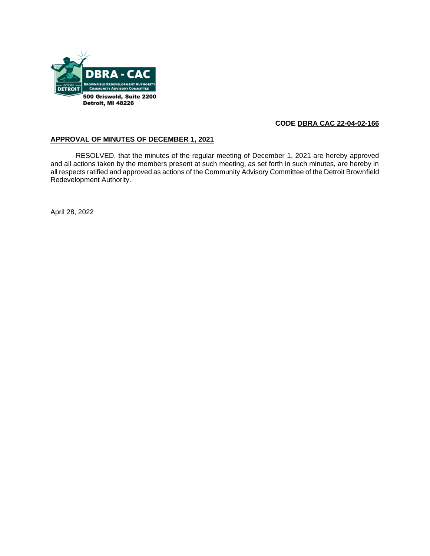

# **CODE DBRA CAC 22-04-02-166**

# **APPROVAL OF MINUTES OF DECEMBER 1, 2021**

RESOLVED, that the minutes of the regular meeting of December 1, 2021 are hereby approved and all actions taken by the members present at such meeting, as set forth in such minutes, are hereby in all respects ratified and approved as actions of the Community Advisory Committee of the Detroit Brownfield Redevelopment Authority.

April 28, 2022